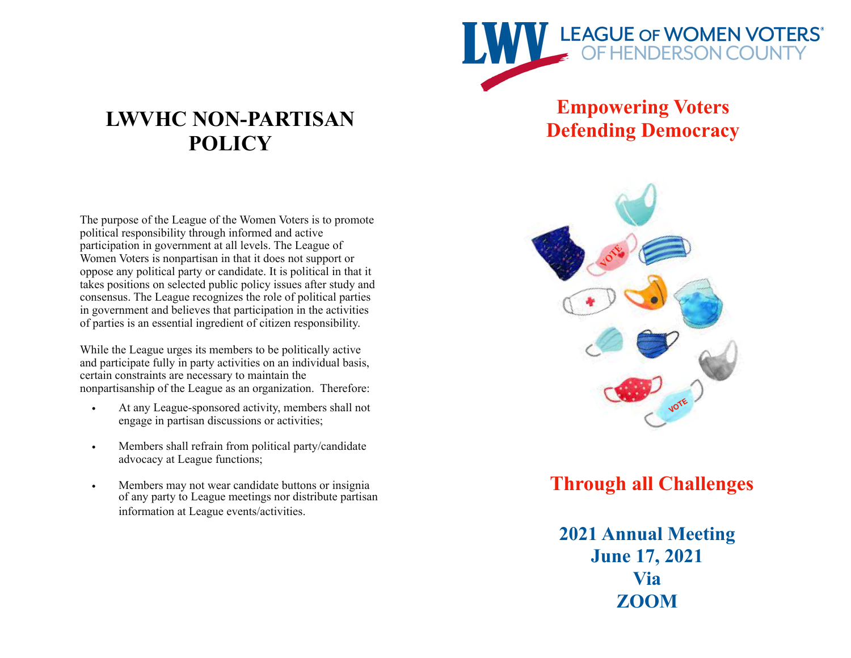

# **Empowering Voters Defending Democracy**

# **LWVHC NON-PARTISAN POLICY**

The purpose of the League of the Women Voters is to promote political responsibility through informed and active participation in government at all levels. The League of Women Voters is nonpartisan in that it does not support or oppose any political party or candidate. It is political in that it takes positions on selected public policy issues after study and consensus. The League recognizes the role of political parties in government and believes that participation in the activities of parties is an essential ingredient of citizen responsibility.

While the League urges its members to be politically active and participate fully in party activities on an individual basis, certain constraints are necessary to maintain the nonpartisanship of the League as an organization. Therefore:

- At any League-sponsored activity, members shall not engage in partisan discussions or activities;
- Members shall refrain from political party/candidate advocacy at League functions;
- Members may not wear candidate buttons or insignia of any party to League meetings nor distribute partisan information at League events/activities.



# **Through all Challenges**

**2021 Annual Meeting June 17, 2021 Via ZOOM**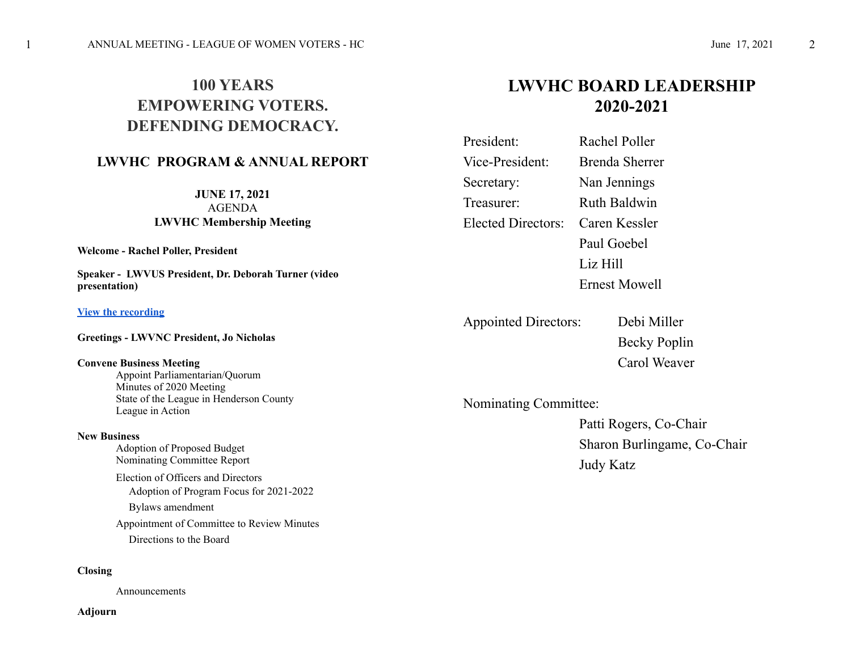# **100 YEARS EMPOWERING VOTERS. DEFENDING DEMOCRACY.**

## **LWVHC PROGRAM & ANNUAL REPORT**

**JUNE 17, 2021** AGENDA **LWVHC Membership Meeting**

**Welcome - Rachel Poller, President**

**Speaker - LWVUS President, Dr. Deborah Turner (video presentation)**

#### **[View the recording](https://lwvus-my.sharepoint.com/:v:/g/personal/abanner_lwv_org/EQXgAbIylhdHhxsTjDhsYPoBWR4zvixzLTflf3oBHCe3gQ?e=dXSfgo)**

**Greetings - LWVNC President, Jo Nicholas**

#### **Convene Business Meeting**

 Appoint Parliamentarian/Quorum Minutes of 2020 Meeting State of the League in Henderson County League in Action

#### **New Business**

 Adoption of Proposed Budget Nominating Committee Report Election of Officers and Directors Adoption of Program Focus for 2021-2022 Bylaws amendment Appointment of Committee to Review Minutes

Directions to the Board

#### **Closing**

Announcements

#### **Adjourn**

# **LWVHC BOARD LEADERSHIP 2020-2021**

| President:         | Rachel Poller       |
|--------------------|---------------------|
| Vice-President:    | Brenda Sherrer      |
| Secretary:         | Nan Jennings        |
| Treasurer:         | <b>Ruth Baldwin</b> |
| Elected Directors: | Caren Kessler       |
|                    | Paul Goebel         |
|                    | Liz Hill            |
|                    | Ernest Mowell       |

Appointed Directors: Debi Miller

Becky Poplin Carol Weaver

Nominating Committee:

 Patti Rogers, Co-Chair Sharon Burlingame, Co-Chair Judy Katz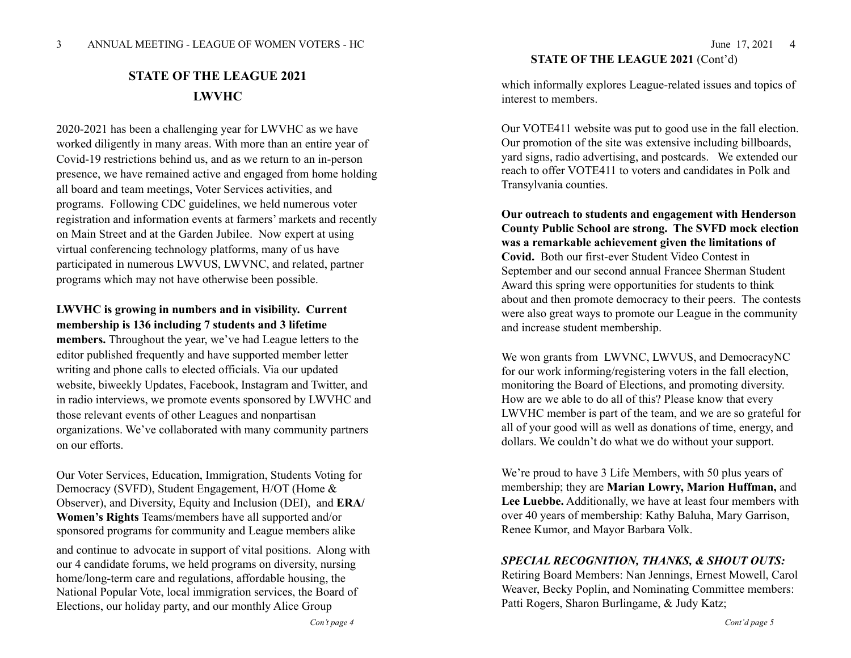## **STATE OF THE LEAGUE 2021 LWVHC**

2020-2021 has been a challenging year for LWVHC as we have worked diligently in many areas. With more than an entire year of Covid-19 restrictions behind us, and as we return to an in-person presence, we have remained active and engaged from home holding all board and team meetings, Voter Services activities, and programs. Following CDC guidelines, we held numerous voter registration and information events at farmers' markets and recently on Main Street and at the Garden Jubilee. Now expert at using virtual conferencing technology platforms, many of us have participated in numerous LWVUS, LWVNC, and related, partner programs which may not have otherwise been possible.

## **LWVHC is growing in numbers and in visibility. Current membership is 136 including 7 students and 3 lifetime**

**members.** Throughout the year, we've had League letters to the editor published frequently and have supported member letter writing and phone calls to elected officials. Via our updated website, biweekly Updates, Facebook, Instagram and Twitter, and in radio interviews, we promote events sponsored by LWVHC and those relevant events of other Leagues and nonpartisan organizations. We've collaborated with many community partners on our efforts.

Our Voter Services, Education, Immigration, Students Voting for Democracy (SVFD), Student Engagement, H/OT (Home & Observer), and Diversity, Equity and Inclusion (DEI), and **ERA/ Women's Rights** Teams/members have all supported and/or sponsored programs for community and League members alike

and continue to advocate in support of vital positions. Along with our 4 candidate forums, we held programs on diversity, nursing home/long-term care and regulations, affordable housing, the National Popular Vote, local immigration services, the Board of Elections, our holiday party, and our monthly Alice Group

# **STATE OF THE LEAGUE 2021** (Cont'd)

4

which informally explores League-related issues and topics of interest to members.

Our VOTE411 website was put to good use in the fall election. Our promotion of the site was extensive including billboards, yard signs, radio advertising, and postcards. We extended our reach to offer VOTE411 to voters and candidates in Polk and Transylvania counties.

**Our outreach to students and engagement with Henderson County Public School are strong. The SVFD mock election was a remarkable achievement given the limitations of Covid.** Both our first-ever Student Video Contest in September and our second annual Francee Sherman Student Award this spring were opportunities for students to think about and then promote democracy to their peers. The contests were also great ways to promote our League in the community and increase student membership.

We won grants from LWVNC, LWVUS, and DemocracyNC for our work informing/registering voters in the fall election, monitoring the Board of Elections, and promoting diversity. How are we able to do all of this? Please know that every LWVHC member is part of the team, and we are so grateful for all of your good will as well as donations of time, energy, and dollars. We couldn't do what we do without your support.

We're proud to have 3 Life Members, with 50 plus years of membership; they are **Marian Lowry, Marion Huffman,** and **Lee Luebbe.** Additionally, we have at least four members with over 40 years of membership: Kathy Baluha, Mary Garrison, Renee Kumor, and Mayor Barbara Volk.

### *SPECIAL RECOGNITION, THANKS, & SHOUT OUTS:*

Retiring Board Members: Nan Jennings, Ernest Mowell, Carol Weaver, Becky Poplin, and Nominating Committee members: Patti Rogers, Sharon Burlingame, & Judy Katz;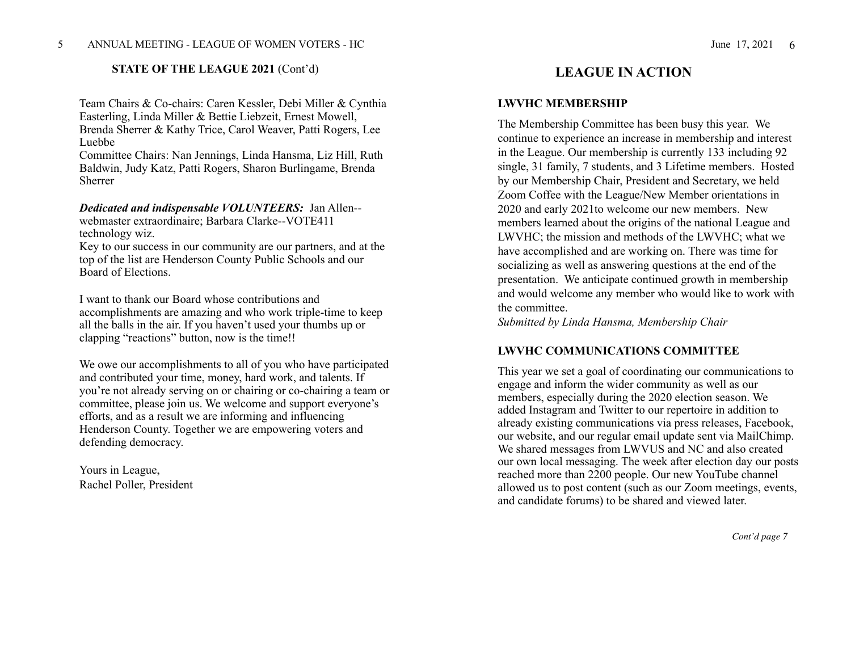#### **STATE OF THE LEAGUE 2021 (Cont'd)** LEAGUE IN ACTION

Team Chairs & Co-chairs: Caren Kessler, Debi Miller & Cynthia Easterling, Linda Miller & Bettie Liebzeit, Ernest Mowell, Brenda Sherrer & Kathy Trice, Carol Weaver, Patti Rogers, Lee Luebbe

Committee Chairs: Nan Jennings, Linda Hansma, Liz Hill, Ruth Baldwin, Judy Katz, Patti Rogers, Sharon Burlingame, Brenda Sherrer

# *Dedicated and indispensable VOLUNTEERS:* Jan Allen--

webmaster extraordinaire; Barbara Clarke--VOTE411 technology wiz.

Key to our success in our community are our partners, and at the top of the list are Henderson County Public Schools and our Board of Elections.

I want to thank our Board whose contributions and accomplishments are amazing and who work triple-time to keep all the balls in the air. If you haven't used your thumbs up or clapping "reactions" button, now is the time!!

We owe our accomplishments to all of you who have participated and contributed your time, money, hard work, and talents. If you're not already serving on or chairing or co-chairing a team or committee, please join us. We welcome and support everyone's efforts, and as a result we are informing and influencing Henderson County. Together we are empowering voters and defending democracy.

Yours in League, Rachel Poller, President

#### **LWVHC MEMBERSHIP**

The Membership Committee has been busy this year. We continue to experience an increase in membership and interest in the League. Our membership is currently 133 including 92 single, 31 family, 7 students, and 3 Lifetime members. Hosted by our Membership Chair, President and Secretary, we held Zoom Coffee with the League/New Member orientations in 2020 and early 2021to welcome our new members. New members learned about the origins of the national League and LWVHC; the mission and methods of the LWVHC; what we have accomplished and are working on. There was time for socializing as well as answering questions at the end of the presentation. We anticipate continued growth in membership and would welcome any member who would like to work with the committee.

*Submitted by Linda Hansma, Membership Chair* 

#### **LWVHC COMMUNICATIONS COMMITTEE**

This year we set a goal of coordinating our communications to engage and inform the wider community as well as our members, especially during the 2020 election season. We added Instagram and Twitter to our repertoire in addition to already existing communications via press releases, Facebook, our website, and our regular email update sent via MailChimp. We shared messages from LWVUS and NC and also created our own local messaging. The week after election day our posts reached more than 2200 people. Our new YouTube channel allowed us to post content (such as our Zoom meetings, events, and candidate forums) to be shared and viewed later.

 *Cont'd page 7*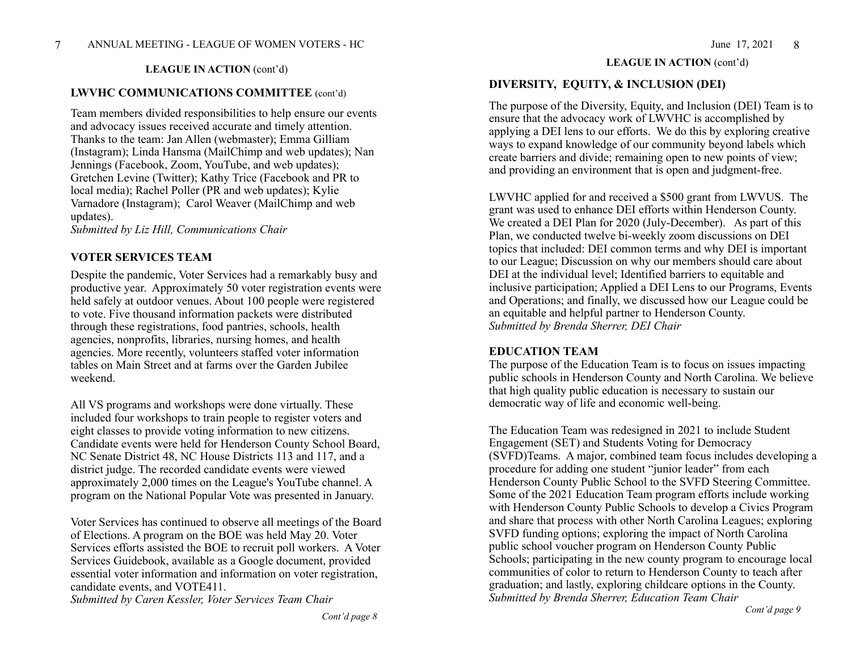#### **LWVHC COMMUNICATIONS COMMITTEE** (cont'd)

Team members divided responsibilities to help ensure our events and advocacy issues received accurate and timely attention. Thanks to the team: Jan Allen (webmaster); Emma Gilliam (Instagram); Linda Hansma (MailChimp and web updates); Nan Jennings (Facebook, Zoom, YouTube, and web updates); Gretchen Levine (Twitter); Kathy Trice (Facebook and PR to local media); Rachel Poller (PR and web updates); Kylie Varnadore (Instagram); Carol Weaver (MailChimp and web updates).

*Submitted by Liz Hill, Communications Chair* 

#### **VOTER SERVICES TEAM**

Despite the pandemic, Voter Services had a remarkably busy and productive year. Approximately 50 voter registration events were held safely at outdoor venues. About 100 people were registered to vote. Five thousand information packets were distributed through these registrations, food pantries, schools, health agencies, nonprofits, libraries, nursing homes, and health agencies. More recently, volunteers staffed voter information tables on Main Street and at farms over the Garden Jubilee weekend.

All VS programs and workshops were done virtually. These included four workshops to train people to register voters and eight classes to provide voting information to new citizens. Candidate events were held for Henderson County School Board, NC Senate District 48, NC House Districts 113 and 117, and a district judge. The recorded candidate events were viewed approximately 2,000 times on the League's YouTube channel. A program on the National Popular Vote was presented in January.

Voter Services has continued to observe all meetings of the Board of Elections. A program on the BOE was held May 20. Voter Services efforts assisted the BOE to recruit poll workers. A Voter Services Guidebook, available as a Google document, provided essential voter information and information on voter registration, candidate events, and VOTE411.

*Submitted by Caren Kessler, Voter Services Team Chair* 

## **LEAGUE IN ACTION** (cont'd) **LEAGUE IN ACTION** (cont'd)

### **DIVERSITY, EQUITY, & INCLUSION (DEI)**

The purpose of the Diversity, Equity, and Inclusion (DEI) Team is to ensure that the advocacy work of LWVHC is accomplished by applying a DEI lens to our efforts. We do this by exploring creative ways to expand knowledge of our community beyond labels which create barriers and divide; remaining open to new points of view; and providing an environment that is open and judgment-free.

LWVHC applied for and received a \$500 grant from LWVUS. The grant was used to enhance DEI efforts within Henderson County. We created a DEI Plan for 2020 (July-December). As part of this Plan, we conducted twelve bi-weekly zoom discussions on DEI topics that included: DEI common terms and why DEI is important to our League; Discussion on why our members should care about DEI at the individual level; Identified barriers to equitable and inclusive participation; Applied a DEI Lens to our Programs, Events and Operations; and finally, we discussed how our League could be an equitable and helpful partner to Henderson County. *Submitted by Brenda Sherrer, DEI Chair* 

#### **EDUCATION TEAM**

The purpose of the Education Team is to focus on issues impacting public schools in Henderson County and North Carolina. We believe that high quality public education is necessary to sustain our democratic way of life and economic well-being.

The Education Team was redesigned in 2021 to include Student Engagement (SET) and Students Voting for Democracy (SVFD)Teams. A major, combined team focus includes developing a procedure for adding one student "junior leader" from each Henderson County Public School to the SVFD Steering Committee. Some of the 2021 Education Team program efforts include working with Henderson County Public Schools to develop a Civics Program and share that process with other North Carolina Leagues; exploring SVFD funding options; exploring the impact of North Carolina public school voucher program on Henderson County Public Schools; participating in the new county program to encourage local communities of color to return to Henderson County to teach after graduation; and lastly, exploring childcare options in the County. *Submitted by Brenda Sherrer, Education Team Chair*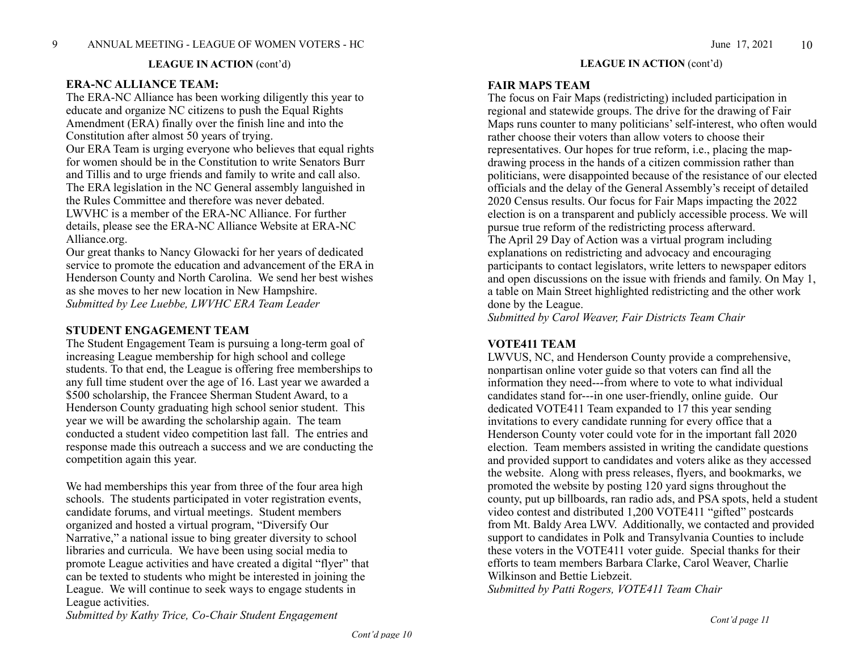#### **LEAGUE IN ACTION** (cont'd)

#### **ERA-NC ALLIANCE TEAM:**

The ERA-NC Alliance has been working diligently this year to educate and organize NC citizens to push the Equal Rights Amendment (ERA) finally over the finish line and into the Constitution after almost 50 years of trying.

Our ERA Team is urging everyone who believes that equal rights for women should be in the Constitution to write Senators Burr and Tillis and to urge friends and family to write and call also. The ERA legislation in the NC General assembly languished in the Rules Committee and therefore was never debated. LWVHC is a member of the ERA-NC Alliance. For further details, please see the ERA-NC Alliance Website at ERA-NC Alliance.org.

Our great thanks to Nancy Glowacki for her years of dedicated service to promote the education and advancement of the ERA in Henderson County and North Carolina. We send her best wishes as she moves to her new location in New Hampshire. *Submitted by Lee Luebbe, LWVHC ERA Team Leader*

#### **STUDENT ENGAGEMENT TEAM**

The Student Engagement Team is pursuing a long-term goal of increasing League membership for high school and college students. To that end, the League is offering free memberships to any full time student over the age of 16. Last year we awarded a \$500 scholarship, the Francee Sherman Student Award, to a Henderson County graduating high school senior student. This year we will be awarding the scholarship again. The team conducted a student video competition last fall. The entries and response made this outreach a success and we are conducting the competition again this year.

We had memberships this year from three of the four area high schools. The students participated in voter registration events, candidate forums, and virtual meetings. Student members organized and hosted a virtual program, "Diversify Our Narrative," a national issue to bing greater diversity to school libraries and curricula. We have been using social media to promote League activities and have created a digital "flyer" that can be texted to students who might be interested in joining the League. We will continue to seek ways to engage students in League activities.

*Submitted by Kathy Trice, Co-Chair Student Engagement*

#### **LEAGUE IN ACTION** (cont'd)

#### **FAIR MAPS TEAM**

The focus on Fair Maps (redistricting) included participation in regional and statewide groups. The drive for the drawing of Fair Maps runs counter to many politicians' self-interest, who often would rather choose their voters than allow voters to choose their representatives. Our hopes for true reform, i.e., placing the mapdrawing process in the hands of a citizen commission rather than politicians, were disappointed because of the resistance of our elected officials and the delay of the General Assembly's receipt of detailed 2020 Census results. Our focus for Fair Maps impacting the 2022 election is on a transparent and publicly accessible process. We will pursue true reform of the redistricting process afterward. The April 29 Day of Action was a virtual program including explanations on redistricting and advocacy and encouraging participants to contact legislators, write letters to newspaper editors and open discussions on the issue with friends and family. On May 1, a table on Main Street highlighted redistricting and the other work done by the League.

*Submitted by Carol Weaver, Fair Districts Team Chair*

#### **VOTE411 TEAM**

LWVUS, NC, and Henderson County provide a comprehensive, nonpartisan online voter guide so that voters can find all the information they need---from where to vote to what individual candidates stand for---in one user-friendly, online guide. Our dedicated VOTE411 Team expanded to 17 this year sending invitations to every candidate running for every office that a Henderson County voter could vote for in the important fall 2020 election. Team members assisted in writing the candidate questions and provided support to candidates and voters alike as they accessed the website. Along with press releases, flyers, and bookmarks, we promoted the website by posting 120 yard signs throughout the county, put up billboards, ran radio ads, and PSA spots, held a student video contest and distributed 1,200 VOTE411 "gifted" postcards from Mt. Baldy Area LWV. Additionally, we contacted and provided support to candidates in Polk and Transylvania Counties to include these voters in the VOTE411 voter guide. Special thanks for their efforts to team members Barbara Clarke, Carol Weaver, Charlie Wilkinson and Bettie Liebzeit.

*Submitted by Patti Rogers, VOTE411 Team Chair*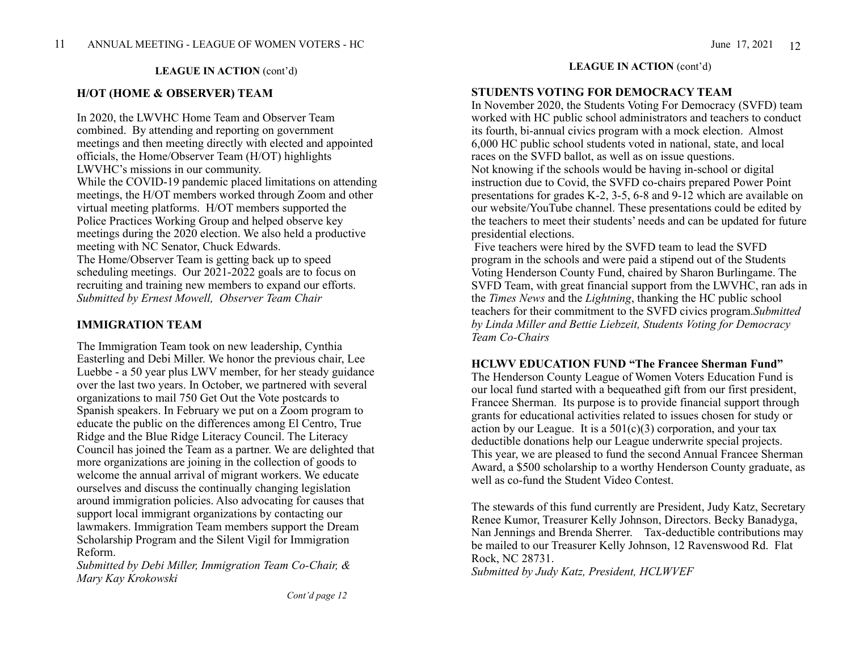#### **H/OT (HOME & OBSERVER) TEAM**

In 2020, the LWVHC Home Team and Observer Team combined. By attending and reporting on government meetings and then meeting directly with elected and appointed officials, the Home/Observer Team (H/OT) highlights LWVHC's missions in our community. While the COVID-19 pandemic placed limitations on attending meetings, the H/OT members worked through Zoom and other virtual meeting platforms. H/OT members supported the Police Practices Working Group and helped observe key meetings during the 2020 election. We also held a productive meeting with NC Senator, Chuck Edwards. The Home/Observer Team is getting back up to speed scheduling meetings. Our  $20\overline{2}1 - 20\overline{2}2$  goals are to focus on recruiting and training new members to expand our efforts. *Submitted by Ernest Mowell, Observer Team Chair*

#### **IMMIGRATION TEAM**

The Immigration Team took on new leadership, Cynthia Easterling and Debi Miller. We honor the previous chair, Lee Luebbe - a 50 year plus LWV member, for her steady guidance over the last two years. In October, we partnered with several organizations to mail 750 Get Out the Vote postcards to Spanish speakers. In February we put on a Zoom program to educate the public on the differences among El Centro, True Ridge and the Blue Ridge Literacy Council. The Literacy Council has joined the Team as a partner. We are delighted that more organizations are joining in the collection of goods to welcome the annual arrival of migrant workers. We educate ourselves and discuss the continually changing legislation around immigration policies. Also advocating for causes that support local immigrant organizations by contacting our lawmakers. Immigration Team members support the Dream Scholarship Program and the Silent Vigil for Immigration Reform.

*Submitted by Debi Miller, Immigration Team Co-Chair, & Mary Kay Krokowski*

### **LEAGUE IN ACTION (cont'd) LEAGUE IN ACTION** (cont'd)

#### **STUDENTS VOTING FOR DEMOCRACY TEAM**

In November 2020, the Students Voting For Democracy (SVFD) team worked with HC public school administrators and teachers to conduct its fourth, bi-annual civics program with a mock election. Almost 6,000 HC public school students voted in national, state, and local races on the SVFD ballot, as well as on issue questions. Not knowing if the schools would be having in-school or digital instruction due to Covid, the SVFD co-chairs prepared Power Point presentations for grades K-2, 3-5, 6-8 and 9-12 which are available on our website/YouTube channel. These presentations could be edited by the teachers to meet their students' needs and can be updated for future presidential elections.

 Five teachers were hired by the SVFD team to lead the SVFD program in the schools and were paid a stipend out of the Students Voting Henderson County Fund, chaired by Sharon Burlingame. The SVFD Team, with great financial support from the LWVHC, ran ads in the *Times News* and the *Lightning*, thanking the HC public school teachers for their commitment to the SVFD civics program.*Submitted by Linda Miller and Bettie Liebzeit, Students Voting for Democracy Team Co-Chairs*

#### **HCLWV EDUCATION FUND "The Francee Sherman Fund"**

The Henderson County League of Women Voters Education Fund is our local fund started with a bequeathed gift from our first president, Francee Sherman. Its purpose is to provide financial support through grants for educational activities related to issues chosen for study or action by our League. It is a  $501(c)(3)$  corporation, and your tax deductible donations help our League underwrite special projects. This year, we are pleased to fund the second Annual Francee Sherman Award, a \$500 scholarship to a worthy Henderson County graduate, as well as co-fund the Student Video Contest.

The stewards of this fund currently are President, Judy Katz, Secretary Renee Kumor, Treasurer Kelly Johnson, Directors. Becky Banadyga, Nan Jennings and Brenda Sherrer. Tax-deductible contributions may be mailed to our Treasurer Kelly Johnson, 12 Ravenswood Rd. Flat Rock, NC 28731. *Submitted by Judy Katz, President, HCLWVEF*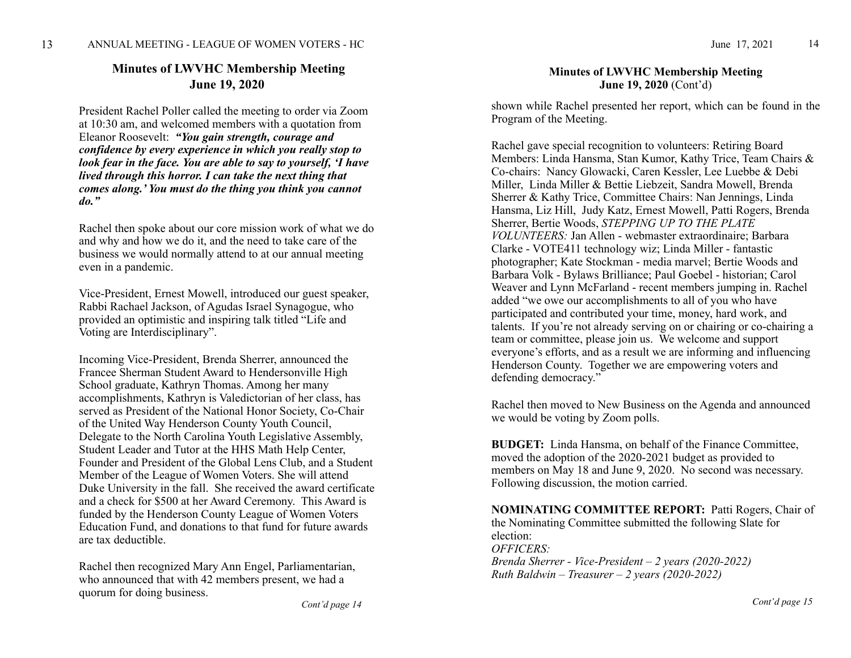## **Minutes of LWVHC Membership Meeting June 19, 2020**

President Rachel Poller called the meeting to order via Zoom at 10:30 am, and welcomed members with a quotation from Eleanor Roosevelt: *"You gain strength, courage and confidence by every experience in which you really stop to look fear in the face. You are able to say to yourself, 'I have lived through this horror. I can take the next thing that comes along.' You must do the thing you think you cannot do."* 

Rachel then spoke about our core mission work of what we do and why and how we do it, and the need to take care of the business we would normally attend to at our annual meeting even in a pandemic.

Vice-President, Ernest Mowell, introduced our guest speaker, Rabbi Rachael Jackson, of Agudas Israel Synagogue, who provided an optimistic and inspiring talk titled "Life and Voting are Interdisciplinary".

Incoming Vice-President, Brenda Sherrer, announced the Francee Sherman Student Award to Hendersonville High School graduate, Kathryn Thomas. Among her many accomplishments, Kathryn is Valedictorian of her class, has served as President of the National Honor Society, Co-Chair of the United Way Henderson County Youth Council, Delegate to the North Carolina Youth Legislative Assembly, Student Leader and Tutor at the HHS Math Help Center, Founder and President of the Global Lens Club, and a Student Member of the League of Women Voters. She will attend Duke University in the fall. She received the award certificate and a check for \$500 at her Award Ceremony. This Award is funded by the Henderson County League of Women Voters Education Fund, and donations to that fund for future awards are tax deductible.

Rachel then recognized Mary Ann Engel, Parliamentarian, who announced that with 42 members present, we had a quorum for doing business.

#### **Minutes of LWVHC Membership Meeting June 19, 2020** (Cont'd)

shown while Rachel presented her report, which can be found in the Program of the Meeting.

Rachel gave special recognition to volunteers: Retiring Board Members: Linda Hansma, Stan Kumor, Kathy Trice, Team Chairs & Co-chairs: Nancy Glowacki, Caren Kessler, Lee Luebbe & Debi Miller, Linda Miller & Bettie Liebzeit, Sandra Mowell, Brenda Sherrer & Kathy Trice, Committee Chairs: Nan Jennings, Linda Hansma, Liz Hill, Judy Katz, Ernest Mowell, Patti Rogers, Brenda Sherrer, Bertie Woods, *STEPPING UP TO THE PLATE VOLUNTEERS:* Jan Allen - webmaster extraordinaire; Barbara Clarke - VOTE411 technology wiz; Linda Miller - fantastic photographer; Kate Stockman - media marvel; Bertie Woods and Barbara Volk - Bylaws Brilliance; Paul Goebel - historian; Carol Weaver and Lynn McFarland - recent members jumping in. Rachel added "we owe our accomplishments to all of you who have participated and contributed your time, money, hard work, and talents. If you're not already serving on or chairing or co-chairing a team or committee, please join us. We welcome and support everyone's efforts, and as a result we are informing and influencing Henderson County. Together we are empowering voters and defending democracy."

Rachel then moved to New Business on the Agenda and announced we would be voting by Zoom polls.

**BUDGET:** Linda Hansma, on behalf of the Finance Committee, moved the adoption of the 2020-2021 budget as provided to members on May 18 and June 9, 2020. No second was necessary. Following discussion, the motion carried.

**NOMINATING COMMITTEE REPORT:** Patti Rogers, Chair of the Nominating Committee submitted the following Slate for election: *OFFICERS: Brenda Sherrer - Vice-President – 2 years (2020-2022) Ruth Baldwin – Treasurer – 2 years (2020-2022)*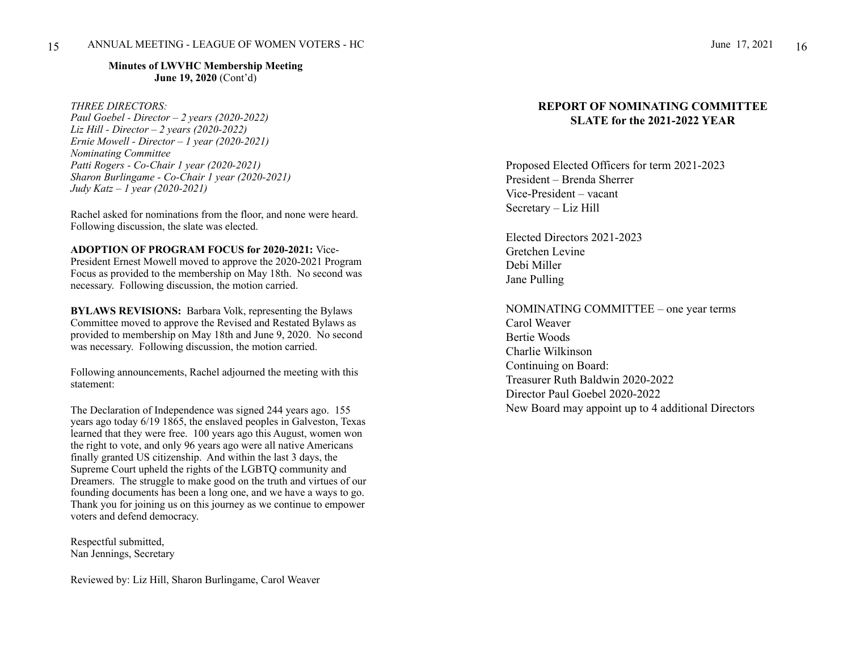**Minutes of LWVHC Membership Meeting June 19, 2020** (Cont'd)

#### *THREE DIRECTORS:*

*Paul Goebel - Director – 2 years (2020-2022) Liz Hill - Director – 2 years (2020-2022) Ernie Mowell - Director – 1 year (2020-2021) Nominating Committee Patti Rogers - Co-Chair 1 year (2020-2021) Sharon Burlingame - Co-Chair 1 year (2020-2021) Judy Katz – 1 year (2020-2021)*

Rachel asked for nominations from the floor, and none were heard. Following discussion, the slate was elected.

**ADOPTION OF PROGRAM FOCUS for 2020-2021:** Vice-President Ernest Mowell moved to approve the 2020-2021 Program Focus as provided to the membership on May 18th. No second was necessary. Following discussion, the motion carried.

**BYLAWS REVISIONS:** Barbara Volk, representing the Bylaws Committee moved to approve the Revised and Restated Bylaws as provided to membership on May 18th and June 9, 2020. No second was necessary. Following discussion, the motion carried.

Following announcements, Rachel adjourned the meeting with this statement:

The Declaration of Independence was signed 244 years ago. 155 years ago today 6/19 1865, the enslaved peoples in Galveston, Texas learned that they were free. 100 years ago this August, women won the right to vote, and only 96 years ago were all native Americans finally granted US citizenship. And within the last 3 days, the Supreme Court upheld the rights of the LGBTQ community and Dreamers. The struggle to make good on the truth and virtues of our founding documents has been a long one, and we have a ways to go. Thank you for joining us on this journey as we continue to empower voters and defend democracy.

Respectful submitted, Nan Jennings, Secretary

Reviewed by: Liz Hill, Sharon Burlingame, Carol Weaver

#### **REPORT OF NOMINATING COMMITTEE SLATE for the 2021-2022 YEAR**

Proposed Elected Officers for term 2021-2023 President – Brenda Sherrer Vice-President – vacant Secretary – Liz Hill

Elected Directors 2021-2023 Gretchen Levine Debi Miller Jane Pulling

NOMINATING COMMITTEE – one year terms Carol Weaver Bertie Woods Charlie Wilkinson Continuing on Board: Treasurer Ruth Baldwin 2020-2022 Director Paul Goebel 2020-2022 New Board may appoint up to 4 additional Directors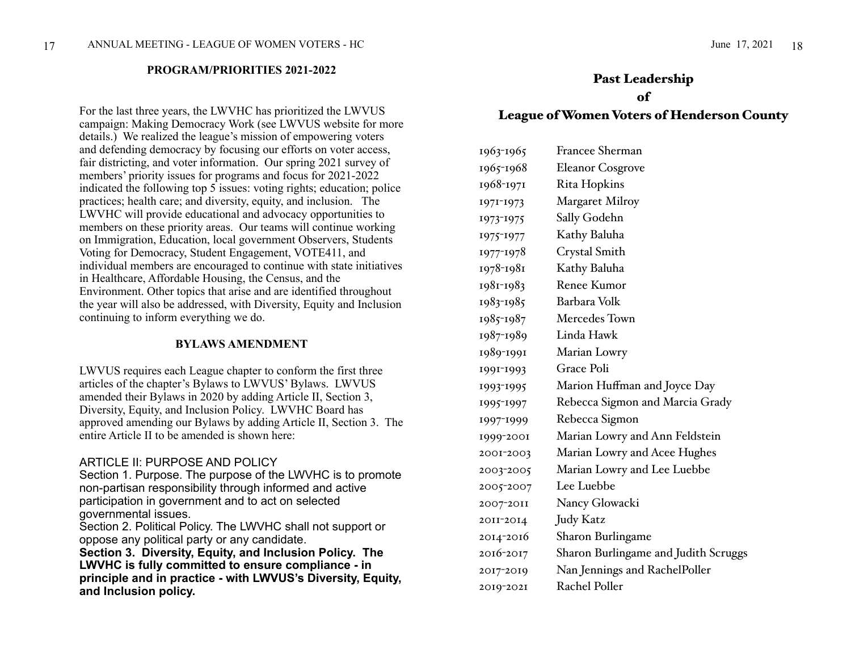#### **PROGRAM/PRIORITIES 2021-2022**

For the last three years, the LWVHC has prioritized the LWVUS campaign: Making Democracy Work (see LWVUS website for more details.) We realized the league's mission of empowering voters and defending democracy by focusing our efforts on voter access, fair districting, and voter information. Our spring 2021 survey of members' priority issues for programs and focus for 2021-2022 indicated the following top  $\overline{5}$  issues: voting rights; education; police practices; health care; and diversity, equity, and inclusion. The LWVHC will provide educational and advocacy opportunities to members on these priority areas. Our teams will continue working on Immigration, Education, local government Observers, Students Voting for Democracy, Student Engagement, VOTE411, and individual members are encouraged to continue with state initiatives in Healthcare, Affordable Housing, the Census, and the Environment. Other topics that arise and are identified throughout the year will also be addressed, with Diversity, Equity and Inclusion continuing to inform everything we do.

#### **BYLAWS AMENDMENT**

LWVUS requires each League chapter to conform the first three articles of the chapter's Bylaws to LWVUS' Bylaws. LWVUS amended their Bylaws in 2020 by adding Article II, Section 3, Diversity, Equity, and Inclusion Policy. LWVHC Board has approved amending our Bylaws by adding Article II, Section 3. The entire Article II to be amended is shown here:

#### ARTICLE II: PURPOSE AND POLICY

Section 1. Purpose. The purpose of the LWVHC is to promote non-partisan responsibility through informed and active participation in government and to act on selected governmental issues.

Section 2. Political Policy. The LWVHC shall not support or oppose any political party or any candidate.

**Section 3. Diversity, Equity, and Inclusion Policy. The LWVHC is fully committed to ensure compliance - in principle and in practice - with LWVUS's Diversity, Equity, and Inclusion policy.**

## Past Leadership

#### of

### League of Women Voters of Henderson County

| 1963-1965 | Francee Sherman                      |
|-----------|--------------------------------------|
| 1965-1968 | <b>Eleanor Cosgrove</b>              |
| 1968-1971 | Rita Hopkins                         |
| 1971-1973 | <b>Margaret Milroy</b>               |
| 1973-1975 | Sally Godehn                         |
| 1975-1977 | Kathy Baluha                         |
| 1977-1978 | Crystal Smith                        |
| 1978-1981 | Kathy Baluha                         |
| 1981-1983 | Renee Kumor                          |
| 1983-1985 | Barbara Volk                         |
| 1985-1987 | Mercedes Town                        |
| 1987-1989 | Linda Hawk                           |
| 1989-1991 | Marian Lowry                         |
| 1991-1993 | <b>Grace Poli</b>                    |
| 1993-1995 | Marion Huffman and Joyce Day         |
| 1995-1997 | Rebecca Sigmon and Marcia Grady      |
| 1997-1999 | Rebecca Sigmon                       |
| 1999-2001 | Marian Lowry and Ann Feldstein       |
| 2001-2003 | Marian Lowry and Acee Hughes         |
| 2003-2005 | Marian Lowry and Lee Luebbe          |
| 2005-2007 | Lee Luebbe                           |
| 2007-2011 | Nancy Glowacki                       |
| 2011-2014 | <b>Judy Katz</b>                     |
| 2014-2016 | Sharon Burlingame                    |
| 2016-2017 | Sharon Burlingame and Judith Scruggs |
| 2017-2019 | Nan Jennings and RachelPoller        |
| 2019-2021 | Rachel Poller                        |